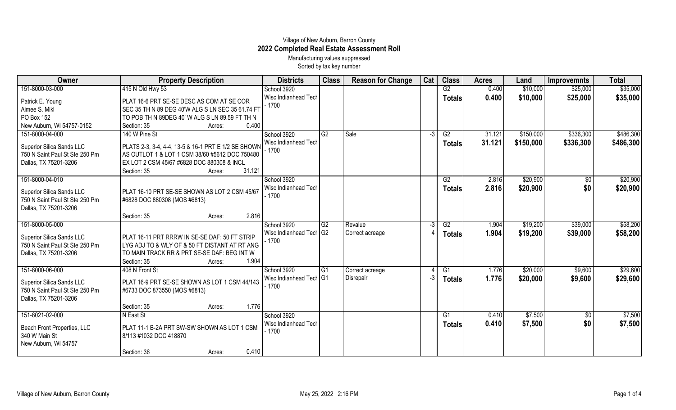## Village of New Auburn, Barron County **2022 Completed Real Estate Assessment Roll** Manufacturing values suppressed

Sorted by tax key number

| 151-8000-03-000<br>415 N Old Hwy 53<br>School 3920<br>G2<br>0.400<br>\$10,000<br>\$25,000<br>Wisc Indianhead Tech<br>0.400<br>\$10,000<br>\$25,000<br><b>Totals</b><br>Patrick E. Young<br>PLAT 16-6 PRT SE-SE DESC AS COM AT SE COR<br>$-1700$<br>Aimee S. Mikl<br>SEC 35 TH N 89 DEG 40'W ALG S LN SEC 35 61.74 FT<br>PO Box 152<br>TO POB TH N 89DEG 40' W ALG S LN 89.59 FT TH N<br>New Auburn, WI 54757-0152<br>0.400<br>Section: 35<br>Acres:<br>\$336,300<br>151-8000-04-000<br>140 W Pine St<br>School 3920<br>$\overline{G2}$<br>Sale<br>\$150,000<br>G2<br>31.121<br>$-3$<br>31.121<br>Wisc Indianhead Tech<br>\$150,000<br>\$336,300<br>Totals<br>PLATS 2-3, 3-4, 4-4, 13-5 & 16-1 PRT E 1/2 SE SHOWN<br>Superior Silica Sands LLC<br>$-1700$<br>AS OUTLOT 1 & LOT 1 CSM 38/60 #5612 DOC 750480<br>750 N Saint Paul St Ste 250 Pm<br>Dallas, TX 75201-3206<br>EX LOT 2 CSM 45/67 #6828 DOC 880308 & INCL<br>Section: 35<br>31.121<br>Acres:<br>151-8000-04-010<br>School 3920<br>\$20,900<br>2.816<br>$\overline{50}$<br>G2<br>\$0<br>2.816<br>Wisc Indianhead Tech<br>\$20,900<br><b>Totals</b><br>PLAT 16-10 PRT SE-SE SHOWN AS LOT 2 CSM 45/67<br>Superior Silica Sands LLC<br>$-1700$<br>750 N Saint Paul St Ste 250 Pm<br>#6828 DOC 880308 (MOS #6813)<br>Dallas, TX 75201-3206<br>2.816<br>Section: 35<br>Acres:<br>151-8000-05-000<br>School 3920<br>\$19,200<br>\$39,000<br>$\overline{G2}$<br>Revalue<br>G2<br>1.904<br>Wisc Indianhead Tech G2<br>Correct acreage<br>1.904<br>\$19,200<br>\$39,000<br>Totals<br>PLAT 16-11 PRT RRRW IN SE-SE DAF: 50 FT STRIP<br><b>Superior Silica Sands LLC</b> | <b>Total</b>         |
|------------------------------------------------------------------------------------------------------------------------------------------------------------------------------------------------------------------------------------------------------------------------------------------------------------------------------------------------------------------------------------------------------------------------------------------------------------------------------------------------------------------------------------------------------------------------------------------------------------------------------------------------------------------------------------------------------------------------------------------------------------------------------------------------------------------------------------------------------------------------------------------------------------------------------------------------------------------------------------------------------------------------------------------------------------------------------------------------------------------------------------------------------------------------------------------------------------------------------------------------------------------------------------------------------------------------------------------------------------------------------------------------------------------------------------------------------------------------------------------------------------------------------------------------------------------------------------------------------------------------|----------------------|
|                                                                                                                                                                                                                                                                                                                                                                                                                                                                                                                                                                                                                                                                                                                                                                                                                                                                                                                                                                                                                                                                                                                                                                                                                                                                                                                                                                                                                                                                                                                                                                                                                        | \$35,000             |
|                                                                                                                                                                                                                                                                                                                                                                                                                                                                                                                                                                                                                                                                                                                                                                                                                                                                                                                                                                                                                                                                                                                                                                                                                                                                                                                                                                                                                                                                                                                                                                                                                        | \$35,000             |
|                                                                                                                                                                                                                                                                                                                                                                                                                                                                                                                                                                                                                                                                                                                                                                                                                                                                                                                                                                                                                                                                                                                                                                                                                                                                                                                                                                                                                                                                                                                                                                                                                        |                      |
|                                                                                                                                                                                                                                                                                                                                                                                                                                                                                                                                                                                                                                                                                                                                                                                                                                                                                                                                                                                                                                                                                                                                                                                                                                                                                                                                                                                                                                                                                                                                                                                                                        |                      |
|                                                                                                                                                                                                                                                                                                                                                                                                                                                                                                                                                                                                                                                                                                                                                                                                                                                                                                                                                                                                                                                                                                                                                                                                                                                                                                                                                                                                                                                                                                                                                                                                                        | \$486,300            |
|                                                                                                                                                                                                                                                                                                                                                                                                                                                                                                                                                                                                                                                                                                                                                                                                                                                                                                                                                                                                                                                                                                                                                                                                                                                                                                                                                                                                                                                                                                                                                                                                                        | \$486,300            |
|                                                                                                                                                                                                                                                                                                                                                                                                                                                                                                                                                                                                                                                                                                                                                                                                                                                                                                                                                                                                                                                                                                                                                                                                                                                                                                                                                                                                                                                                                                                                                                                                                        | \$20,900             |
|                                                                                                                                                                                                                                                                                                                                                                                                                                                                                                                                                                                                                                                                                                                                                                                                                                                                                                                                                                                                                                                                                                                                                                                                                                                                                                                                                                                                                                                                                                                                                                                                                        | \$20,900             |
|                                                                                                                                                                                                                                                                                                                                                                                                                                                                                                                                                                                                                                                                                                                                                                                                                                                                                                                                                                                                                                                                                                                                                                                                                                                                                                                                                                                                                                                                                                                                                                                                                        |                      |
| - 1700<br>750 N Saint Paul St Ste 250 Pm<br>LYG ADJ TO & WLY OF & 50 FT DISTANT AT RT ANG<br>Dallas, TX 75201-3206<br>TO MAIN TRACK RR & PRT SE-SE DAF: BEG INT W<br>Section: 35<br>1.904<br>Acres:                                                                                                                                                                                                                                                                                                                                                                                                                                                                                                                                                                                                                                                                                                                                                                                                                                                                                                                                                                                                                                                                                                                                                                                                                                                                                                                                                                                                                    | \$58,200<br>\$58,200 |
| 151-8000-06-000<br>\$20,000<br>\$9,600<br>408 N Front St<br>School 3920<br>G1<br>1.776<br>l G1<br>Correct acreage<br>Wisc Indianhead Tecl I G1<br>Disrepair<br>1.776<br>-3<br>\$20,000<br>\$9,600<br><b>Totals</b><br>PLAT 16-9 PRT SE-SE SHOWN AS LOT 1 CSM 44/143<br><b>Superior Silica Sands LLC</b><br>$-1700$<br>750 N Saint Paul St Ste 250 Pm<br>#6733 DOC 873550 (MOS #6813)<br>Dallas, TX 75201-3206                                                                                                                                                                                                                                                                                                                                                                                                                                                                                                                                                                                                                                                                                                                                                                                                                                                                                                                                                                                                                                                                                                                                                                                                          | \$29,600<br>\$29,600 |
| 1.776<br>Section: 35<br>Acres:                                                                                                                                                                                                                                                                                                                                                                                                                                                                                                                                                                                                                                                                                                                                                                                                                                                                                                                                                                                                                                                                                                                                                                                                                                                                                                                                                                                                                                                                                                                                                                                         |                      |
| 151-8021-02-000<br>N East St<br>School 3920<br>G1<br>\$7,500<br>$\sqrt[6]{3}$<br>0.410<br>Wisc Indianhead Tech<br>\$0<br>0.410<br>\$7,500<br><b>Totals</b><br>PLAT 11-1 B-2A PRT SW-SW SHOWN AS LOT 1 CSM<br>Beach Front Properties, LLC<br>$-1700$<br>340 W Main St<br>8/113 #1032 DOC 418870<br>New Auburn, WI 54757<br>0.410<br>Section: 36<br>Acres:                                                                                                                                                                                                                                                                                                                                                                                                                                                                                                                                                                                                                                                                                                                                                                                                                                                                                                                                                                                                                                                                                                                                                                                                                                                               | \$7,500<br>\$7,500   |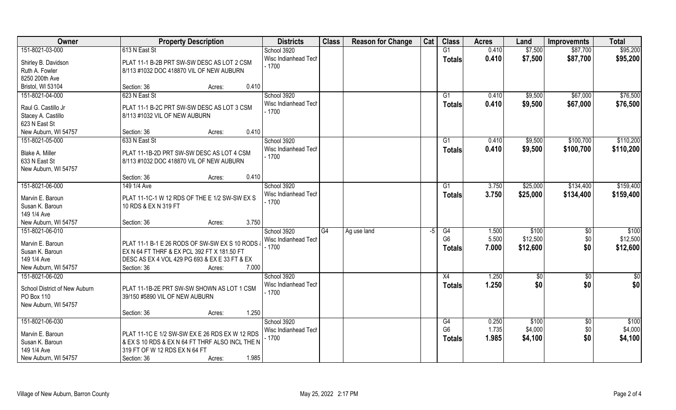| Owner                                 | <b>Property Description</b>                                                            |                 | <b>Districts</b>                | <b>Class</b> | <b>Reason for Change</b> | Cat | <b>Class</b>    | <b>Acres</b> | Land     | <b>Improvemnts</b> | <b>Total</b> |
|---------------------------------------|----------------------------------------------------------------------------------------|-----------------|---------------------------------|--------------|--------------------------|-----|-----------------|--------------|----------|--------------------|--------------|
| 151-8021-03-000                       | 613 N East St                                                                          |                 | School 3920                     |              |                          |     | G1              | 0.410        | \$7,500  | \$87,700           | \$95,200     |
| Shirley B. Davidson<br>Ruth A. Fowler | PLAT 11-1 B-2B PRT SW-SW DESC AS LOT 2 CSM<br>8/113 #1032 DOC 418870 VIL OF NEW AUBURN |                 | Wisc Indianhead Tech<br>$-1700$ |              |                          |     | <b>Totals</b>   | 0.410        | \$7,500  | \$87,700           | \$95,200     |
| 8250 200th Ave                        |                                                                                        |                 |                                 |              |                          |     |                 |              |          |                    |              |
| Bristol, WI 53104                     | Section: 36                                                                            | 0.410<br>Acres: |                                 |              |                          |     |                 |              |          |                    |              |
| 151-8021-04-000                       | 623 N East St                                                                          |                 | School 3920                     |              |                          |     | G1              | 0.410        | \$9,500  | \$67,000           | \$76,500     |
|                                       |                                                                                        |                 | Wisc Indianhead Tech            |              |                          |     | Totals          | 0.410        | \$9,500  | \$67,000           | \$76,500     |
| Raul G. Castillo Jr                   | PLAT 11-1 B-2C PRT SW-SW DESC AS LOT 3 CSM                                             |                 | $-1700$                         |              |                          |     |                 |              |          |                    |              |
| Stacey A. Castillo                    | 8/113 #1032 VIL OF NEW AUBURN                                                          |                 |                                 |              |                          |     |                 |              |          |                    |              |
| 623 N East St                         |                                                                                        |                 |                                 |              |                          |     |                 |              |          |                    |              |
| New Auburn, WI 54757                  | Section: 36                                                                            | 0.410<br>Acres: |                                 |              |                          |     |                 |              |          |                    |              |
| 151-8021-05-000                       | 633 N East St                                                                          |                 | School 3920                     |              |                          |     | G1              | 0.410        | \$9,500  | \$100,700          | \$110,200    |
| Blake A. Miller                       | PLAT 11-1B-2D PRT SW-SW DESC AS LOT 4 CSM                                              |                 | Wisc Indianhead Tech            |              |                          |     | <b>Totals</b>   | 0.410        | \$9,500  | \$100,700          | \$110,200    |
| 633 N East St                         | 8/113 #1032 DOC 418870 VIL OF NEW AUBURN                                               |                 | $-1700$                         |              |                          |     |                 |              |          |                    |              |
| New Auburn, WI 54757                  |                                                                                        |                 |                                 |              |                          |     |                 |              |          |                    |              |
|                                       | Section: 36                                                                            | 0.410<br>Acres: |                                 |              |                          |     |                 |              |          |                    |              |
| 151-8021-06-000                       | 149 1/4 Ave                                                                            |                 | School 3920                     |              |                          |     | G1              | 3.750        | \$25,000 | \$134,400          | \$159,400    |
|                                       |                                                                                        |                 | Wisc Indianhead Tech            |              |                          |     | <b>Totals</b>   | 3.750        | \$25,000 | \$134,400          | \$159,400    |
| Marvin E. Baroun<br>Susan K. Baroun   | PLAT 11-1C-1 W 12 RDS OF THE E 1/2 SW-SW EX S<br>10 RDS & EX N 319 FT                  |                 | $-1700$                         |              |                          |     |                 |              |          |                    |              |
| 149 1/4 Ave                           |                                                                                        |                 |                                 |              |                          |     |                 |              |          |                    |              |
| New Auburn, WI 54757                  | Section: 36                                                                            | 3.750<br>Acres: |                                 |              |                          |     |                 |              |          |                    |              |
| 151-8021-06-010                       |                                                                                        |                 | School 3920                     | G4           | Ag use land              | -5  | $\overline{G4}$ | 1.500        | \$100    | \$0                | \$100        |
|                                       |                                                                                        |                 | Wisc Indianhead Tech            |              |                          |     | G <sub>6</sub>  | 5.500        | \$12,500 | \$0                | \$12,500     |
| Marvin E. Baroun                      | PLAT 11-1 B-1 E 26 RODS OF SW-SW EX S 10 RODS                                          |                 | $-1700$                         |              |                          |     | <b>Totals</b>   | 7.000        | \$12,600 | \$0                | \$12,600     |
| Susan K. Baroun                       | EX N 64 FT THRF & EX PCL 392 FT X 181.50 FT                                            |                 |                                 |              |                          |     |                 |              |          |                    |              |
| 149 1/4 Ave                           | DESC AS EX 4 VOL 429 PG 693 & EX E 33 FT & EX                                          |                 |                                 |              |                          |     |                 |              |          |                    |              |
| New Auburn, WI 54757                  | Section: 36                                                                            | 7.000<br>Acres: |                                 |              |                          |     |                 |              |          |                    |              |
| 151-8021-06-020                       |                                                                                        |                 | School 3920                     |              |                          |     | X4              | 1.250        | \$0      | $\overline{50}$    | \$0          |
| School District of New Auburn         | PLAT 11-1B-2E PRT SW-SW SHOWN AS LOT 1 CSM                                             |                 | Wisc Indianhead Tech            |              |                          |     | <b>Totals</b>   | 1.250        | \$0      | \$0                | \$0          |
| PO Box 110                            | 39/150 #5890 VIL OF NEW AUBURN                                                         |                 | $-1700$                         |              |                          |     |                 |              |          |                    |              |
| New Auburn, WI 54757                  |                                                                                        |                 |                                 |              |                          |     |                 |              |          |                    |              |
|                                       | Section: 36                                                                            | 1.250<br>Acres: |                                 |              |                          |     |                 |              |          |                    |              |
| 151-8021-06-030                       |                                                                                        |                 | School 3920                     |              |                          |     | G4              | 0.250        | \$100    | $\overline{50}$    | \$100        |
| Marvin E. Baroun                      | PLAT 11-1C E 1/2 SW-SW EX E 26 RDS EX W 12 RDS                                         |                 | Wisc Indianhead Tech            |              |                          |     | G <sub>6</sub>  | 1.735        | \$4,000  | \$0                | \$4,000      |
| Susan K. Baroun                       | & EX S 10 RDS & EX N 64 FT THRF ALSO INCL THE N                                        |                 | $-1700$                         |              |                          |     | <b>Totals</b>   | 1.985        | \$4,100  | \$0                | \$4,100      |
| 149 1/4 Ave                           | 319 FT OF W 12 RDS EX N 64 FT                                                          |                 |                                 |              |                          |     |                 |              |          |                    |              |
| New Auburn, WI 54757                  | Section: 36                                                                            | 1.985<br>Acres: |                                 |              |                          |     |                 |              |          |                    |              |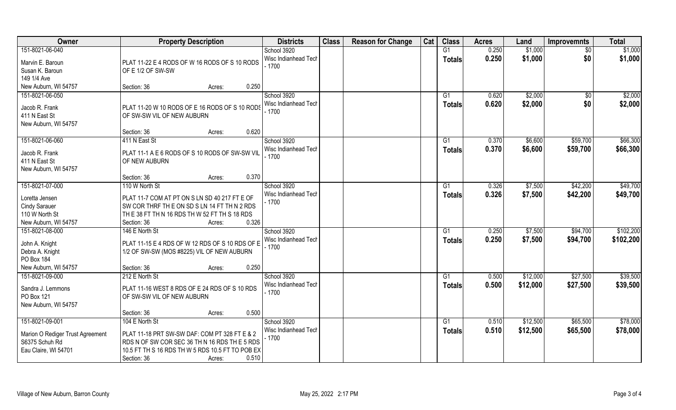| Owner                                                                      | <b>Property Description</b>                                                                                                                                                          | <b>Districts</b>                | <b>Class</b> | <b>Reason for Change</b> | Cat | <b>Class</b>  | <b>Acres</b> | Land     | <b>Improvemnts</b> | <b>Total</b> |
|----------------------------------------------------------------------------|--------------------------------------------------------------------------------------------------------------------------------------------------------------------------------------|---------------------------------|--------------|--------------------------|-----|---------------|--------------|----------|--------------------|--------------|
| 151-8021-06-040                                                            |                                                                                                                                                                                      | School 3920                     |              |                          |     | G1            | 0.250        | \$1,000  | \$0                | \$1,000      |
| Marvin E. Baroun<br>Susan K. Baroun                                        | PLAT 11-22 E 4 RODS OF W 16 RODS OF S 10 RODS<br>OF E 1/2 OF SW-SW                                                                                                                   | Wisc Indianhead Tech<br>$-1700$ |              |                          |     | <b>Totals</b> | 0.250        | \$1,000  | \$0                | \$1,000      |
| 149 1/4 Ave                                                                |                                                                                                                                                                                      |                                 |              |                          |     |               |              |          |                    |              |
| New Auburn, WI 54757                                                       | 0.250<br>Section: 36<br>Acres:                                                                                                                                                       |                                 |              |                          |     |               |              |          |                    |              |
| 151-8021-06-050                                                            |                                                                                                                                                                                      | School 3920                     |              |                          |     | G1            | 0.620        | \$2,000  | \$0                | \$2,000      |
| Jacob R. Frank<br>411 N East St<br>New Auburn, WI 54757                    | PLAT 11-20 W 10 RODS OF E 16 RODS OF S 10 RODS<br>OF SW-SW VIL OF NEW AUBURN                                                                                                         | Wisc Indianhead Tech<br>$-1700$ |              |                          |     | Totals        | 0.620        | \$2,000  | \$0                | \$2,000      |
|                                                                            | 0.620<br>Section: 36<br>Acres:                                                                                                                                                       |                                 |              |                          |     |               |              |          |                    |              |
| 151-8021-06-060                                                            | 411 N East St                                                                                                                                                                        | School 3920                     |              |                          |     | G1            | 0.370        | \$6,600  | \$59,700           | \$66,300     |
| Jacob R. Frank<br>411 N East St<br>New Auburn, WI 54757                    | PLAT 11-1 A E 6 RODS OF S 10 RODS OF SW-SW VIL<br>OF NEW AUBURN                                                                                                                      | Wisc Indianhead Tech<br>$-1700$ |              |                          |     | <b>Totals</b> | 0.370        | \$6,600  | \$59,700           | \$66,300     |
|                                                                            | 0.370<br>Section: 36<br>Acres:                                                                                                                                                       |                                 |              |                          |     |               |              |          |                    |              |
| 151-8021-07-000                                                            | 110 W North St                                                                                                                                                                       | School 3920                     |              |                          |     | G1            | 0.326        | \$7,500  | \$42,200           | \$49,700     |
| Loretta Jensen<br><b>Cindy Sarauer</b>                                     | PLAT 11-7 COM AT PT ON S LN SD 40 217 FT E OF<br>SW COR THRF THE ON SD SLN 14 FT TH N 2 RDS                                                                                          | Wisc Indianhead Tech<br>$-1700$ |              |                          |     | <b>Totals</b> | 0.326        | \$7,500  | \$42,200           | \$49,700     |
| 110 W North St                                                             | THE 38 FT THN 16 RDS THW 52 FT THS 18 RDS                                                                                                                                            |                                 |              |                          |     |               |              |          |                    |              |
| New Auburn, WI 54757                                                       | 0.326<br>Section: 36<br>Acres:                                                                                                                                                       |                                 |              |                          |     |               |              |          |                    |              |
| 151-8021-08-000                                                            | 146 E North St                                                                                                                                                                       | School 3920                     |              |                          |     | G1            | 0.250        | \$7,500  | \$94,700           | \$102,200    |
| John A. Knight<br>Debra A. Knight<br>PO Box 184                            | PLAT 11-15 E 4 RDS OF W 12 RDS OF S 10 RDS OF E<br>1/2 OF SW-SW (MOS #8225) VIL OF NEW AUBURN                                                                                        | Wisc Indianhead Tech<br>$-1700$ |              |                          |     | <b>Totals</b> | 0.250        | \$7,500  | \$94,700           | \$102,200    |
| New Auburn, WI 54757                                                       | 0.250<br>Section: 36<br>Acres:                                                                                                                                                       |                                 |              |                          |     |               |              |          |                    |              |
| 151-8021-09-000                                                            | 212 E North St                                                                                                                                                                       | School 3920                     |              |                          |     | G1            | 0.500        | \$12,000 | \$27,500           | \$39,500     |
| Sandra J. Lemmons<br>PO Box 121<br>New Auburn, WI 54757                    | PLAT 11-16 WEST 8 RDS OF E 24 RDS OF S 10 RDS<br>OF SW-SW VIL OF NEW AUBURN                                                                                                          | Wisc Indianhead Tech<br>$-1700$ |              |                          |     | <b>Totals</b> | 0.500        | \$12,000 | \$27,500           | \$39,500     |
|                                                                            | 0.500<br>Section: 36<br>Acres:                                                                                                                                                       |                                 |              |                          |     |               |              |          |                    |              |
| 151-8021-09-001                                                            | 104 E North St                                                                                                                                                                       | School 3920                     |              |                          |     | G1            | 0.510        | \$12,500 | \$65,500           | \$78,000     |
| Marion O Rediger Trust Agreement<br>S6375 Schuh Rd<br>Eau Claire, WI 54701 | PLAT 11-18 PRT SW-SW DAF: COM PT 328 FT E & 2<br>RDS N OF SW COR SEC 36 TH N 16 RDS TH E 5 RDS<br>10.5 FT TH S 16 RDS TH W 5 RDS 10.5 FT TO POB EX<br>0.510<br>Section: 36<br>Acres: | Wisc Indianhead Tech<br>$-1700$ |              |                          |     | <b>Totals</b> | 0.510        | \$12,500 | \$65,500           | \$78,000     |